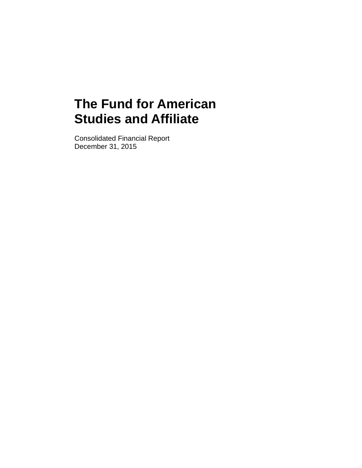Consolidated Financial Report December 31, 2015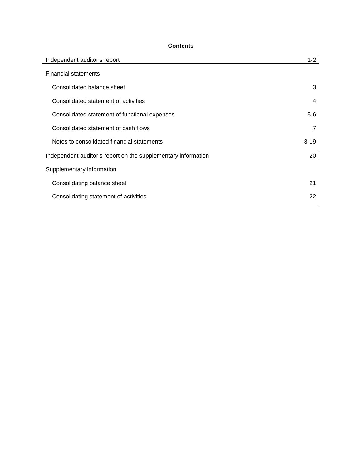# **Contents**

| Independent auditor's report                                  | $1 - 2$        |
|---------------------------------------------------------------|----------------|
| <b>Financial statements</b>                                   |                |
| Consolidated balance sheet                                    | 3              |
| Consolidated statement of activities                          | 4              |
| Consolidated statement of functional expenses                 | $5-6$          |
| Consolidated statement of cash flows                          | $\overline{7}$ |
| Notes to consolidated financial statements                    | $8 - 19$       |
| Independent auditor's report on the supplementary information | 20             |
| Supplementary information                                     |                |
| Consolidating balance sheet                                   | 21             |
| Consolidating statement of activities                         | 22             |
|                                                               |                |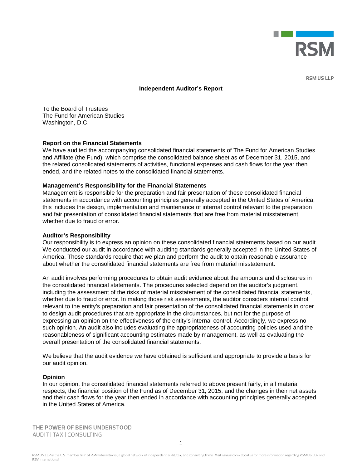

RSM US LLP

#### **Independent Auditor's Report**

To the Board of Trustees The Fund for American Studies Washington, D.C.

#### **Report on the Financial Statements**

We have audited the accompanying consolidated financial statements of The Fund for American Studies and Affiliate (the Fund), which comprise the consolidated balance sheet as of December 31, 2015, and the related consolidated statements of activities, functional expenses and cash flows for the year then ended, and the related notes to the consolidated financial statements.

#### **Management's Responsibility for the Financial Statements**

Management is responsible for the preparation and fair presentation of these consolidated financial statements in accordance with accounting principles generally accepted in the United States of America; this includes the design, implementation and maintenance of internal control relevant to the preparation and fair presentation of consolidated financial statements that are free from material misstatement, whether due to fraud or error.

#### **Auditor's Responsibility**

Our responsibility is to express an opinion on these consolidated financial statements based on our audit. We conducted our audit in accordance with auditing standards generally accepted in the United States of America. Those standards require that we plan and perform the audit to obtain reasonable assurance about whether the consolidated financial statements are free from material misstatement.

An audit involves performing procedures to obtain audit evidence about the amounts and disclosures in the consolidated financial statements. The procedures selected depend on the auditor's judgment, including the assessment of the risks of material misstatement of the consolidated financial statements, whether due to fraud or error. In making those risk assessments, the auditor considers internal control relevant to the entity's preparation and fair presentation of the consolidated financial statements in order to design audit procedures that are appropriate in the circumstances, but not for the purpose of expressing an opinion on the effectiveness of the entity's internal control. Accordingly, we express no such opinion. An audit also includes evaluating the appropriateness of accounting policies used and the reasonableness of significant accounting estimates made by management, as well as evaluating the overall presentation of the consolidated financial statements.

We believe that the audit evidence we have obtained is sufficient and appropriate to provide a basis for our audit opinion.

#### **Opinion**

In our opinion, the consolidated financial statements referred to above present fairly, in all material respects, the financial position of the Fund as of December 31, 2015, and the changes in their net assets and their cash flows for the year then ended in accordance with accounting principles generally accepted in the United States of America.

THE POWER OF BEING UNDERSTOOD AUDIT | TAX | CONSULTING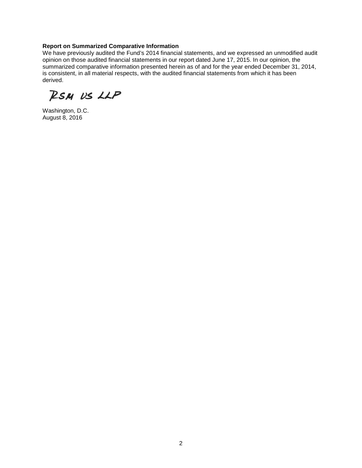## **Report on Summarized Comparative Information**

We have previously audited the Fund's 2014 financial statements, and we expressed an unmodified audit opinion on those audited financial statements in our report dated June 17, 2015. In our opinion, the summarized comparative information presented herein as of and for the year ended December 31, 2014, is consistent, in all material respects, with the audited financial statements from which it has been derived.

RSM US LLP

Washington, D.C. August 8, 2016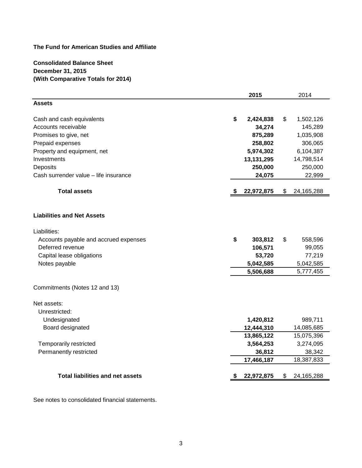**Consolidated Balance Sheet December 31, 2015 (With Comparative Totals for 2014)**

|                                         | 2015            |    | 2014         |
|-----------------------------------------|-----------------|----|--------------|
| <b>Assets</b>                           |                 |    |              |
| Cash and cash equivalents               | \$<br>2,424,838 | \$ | 1,502,126    |
| Accounts receivable                     | 34,274          |    | 145,289      |
| Promises to give, net                   | 875,289         |    | 1,035,908    |
| Prepaid expenses                        | 258,802         |    | 306,065      |
| Property and equipment, net             | 5,974,302       |    | 6,104,387    |
| Investments                             | 13, 131, 295    |    | 14,798,514   |
| Deposits                                | 250,000         |    | 250,000      |
| Cash surrender value - life insurance   | 24,075          |    | 22,999       |
| <b>Total assets</b>                     | 22,972,875      | \$ | 24, 165, 288 |
| <b>Liabilities and Net Assets</b>       |                 |    |              |
| Liabilities:                            |                 |    |              |
| Accounts payable and accrued expenses   | \$<br>303,812   | \$ | 558,596      |
| Deferred revenue                        | 106,571         |    | 99,055       |
| Capital lease obligations               | 53,720          |    | 77,219       |
| Notes payable                           | 5,042,585       |    | 5,042,585    |
|                                         | 5,506,688       |    | 5,777,455    |
| Commitments (Notes 12 and 13)           |                 |    |              |
| Net assets:                             |                 |    |              |
| Unrestricted:                           |                 |    |              |
| Undesignated                            | 1,420,812       |    | 989,711      |
| Board designated                        | 12,444,310      |    | 14,085,685   |
|                                         | 13,865,122      |    | 15,075,396   |
| Temporarily restricted                  | 3,564,253       |    | 3,274,095    |
| Permanently restricted                  | 36,812          |    | 38,342       |
|                                         | 17,466,187      |    | 18,387,833   |
| <b>Total liabilities and net assets</b> | 22,972,875      | S  | 24, 165, 288 |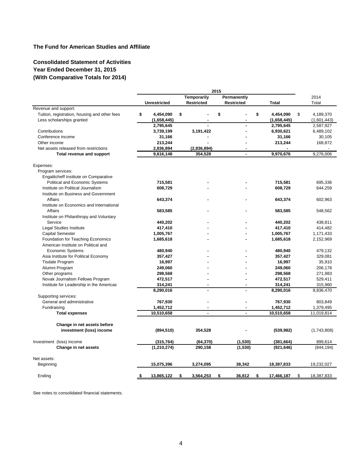## **Consolidated Statement of Activities Year Ended December 31, 2015 (With Comparative Totals for 2014)**

|                                               |                     |                    | 2015              |                        |             |
|-----------------------------------------------|---------------------|--------------------|-------------------|------------------------|-------------|
|                                               |                     | <b>Temporarily</b> | Permanently       |                        | 2014        |
|                                               | <b>Unrestricted</b> | Restricted         | <b>Restricted</b> | <b>Total</b>           | Total       |
| Revenue and support:                          |                     |                    |                   |                        |             |
| Tuition, registration, housing and other fees | \$<br>4,454,090     | \$                 | \$                | \$<br>4,454,090<br>\$  | 4,189,370   |
| Less scholarships granted                     | (1,658,445)         |                    |                   | (1,658,445)            | (1,601,443) |
|                                               | 2,795,645           |                    |                   | 2,795,645              | 2,587,927   |
| Contributions                                 | 3,739,199           | 3,191,422          |                   | 6,930,621              | 6,489,102   |
| Conference income                             | 31,166              |                    |                   | 31,166                 | 30,105      |
| Other income                                  | 213,244             |                    |                   | 213,244                | 168,872     |
| Net assets released from restrictions         | 2,836,894           | (2,836,894)        |                   |                        |             |
| Total revenue and support                     | 9,616,148           | 354,528            | $\mathbf{r}$      | 9,970,676              | 9,276,006   |
| Expenses:                                     |                     |                    |                   |                        |             |
| Program services:                             |                     |                    |                   |                        |             |
| Engalitcheff Institute on Comparative         |                     |                    |                   |                        |             |
| Political and Economic Systems                | 715,581             |                    |                   | 715,581                | 695,336     |
| Institute on Political Journalism             | 608,729             |                    |                   | 608,729                | 644,259     |
|                                               |                     |                    |                   |                        |             |
| Institute on Business and Government          |                     |                    |                   |                        |             |
| Affairs                                       | 643,374             |                    |                   | 643,374                | 602,963     |
| Institute on Economics and International      |                     |                    |                   |                        |             |
| Affairs                                       | 583,585             |                    |                   | 583,585                | 548,562     |
| Institute on Philanthropy and Voluntary       |                     |                    |                   |                        |             |
| Service                                       | 440,202             |                    |                   | 440,202                | 438,811     |
| Legal Studies Institute                       | 417,410             |                    |                   | 417,410                | 414,482     |
| <b>Capital Semester</b>                       | 1,005,767           |                    |                   | 1,005,767              | 1,171,433   |
| Foundation for Teaching Economics             | 1,685,618           |                    |                   | 1,685,618              | 2,152,969   |
| American Institute on Political and           |                     |                    |                   |                        |             |
| <b>Economic Systems</b>                       | 480,940             |                    |                   | 480,940                | 479,132     |
| Asia Institute for Political Economy          | 357,427             |                    |                   | 357,427                | 329,081     |
| <b>Tisdale Program</b>                        | 16.997              |                    |                   | 16,997                 | 35,910      |
| Alumni Program                                | 249,060             |                    |                   | 249,060                | 206,178     |
| Other programs                                | 298,568             |                    |                   | 298,568                | 271,983     |
| Novak Journalism Fellows Program              | 472,517             |                    |                   | 472,517                | 529,411     |
| Institute for Leadership in the Americas      | 314,241             |                    |                   | 314,241                | 315,960     |
|                                               | 8,290,016           |                    |                   | 8,290,016              | 8,836,470   |
| Supporting services:                          |                     |                    |                   |                        |             |
| General and administrative                    | 767,930             |                    |                   | 767,930                | 803,849     |
| Fundraising                                   | 1,452,712           |                    |                   | 1,452,712              | 1,379,495   |
| <b>Total expenses</b>                         | 10,510,658          | ä,                 | ä,                | 10,510,658             | 11,019,814  |
| Change in net assets before                   |                     |                    |                   |                        |             |
| investment (loss) income                      | (894, 510)          | 354,528            |                   | (539, 982)             | (1,743,808) |
|                                               |                     |                    |                   |                        |             |
| Investment (loss) income                      | (315, 764)          | (64, 370)          | (1,530)           | (381, 664)             | 899,614     |
| Change in net assets                          | (1, 210, 274)       | 290,158            | (1,530)           | (921, 646)             | (844, 194)  |
| Net assets:                                   |                     |                    |                   |                        |             |
| Beginning                                     | 15,075,396          | 3,274,095          | 38,342            | 18,387,833             | 19,232,027  |
| Ending                                        | 13,865,122<br>-5    | 3,564,253<br>\$    | 36,812<br>\$      | 17,466,187<br>\$<br>\$ | 18,387,833  |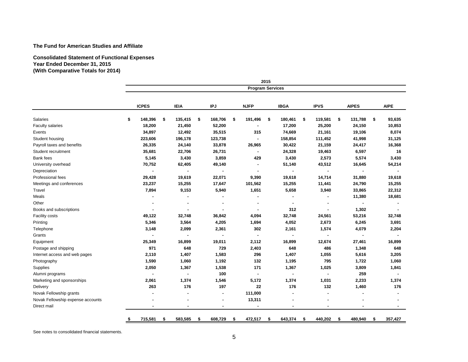#### **Consolidated Statement of Functional Expenses Year Ended December 31, 2015 (With Comparative Totals for 2014)**

|                                   |                         |                |    |             |    |                |    |                | 2015 |                |                          |               |     |             |
|-----------------------------------|-------------------------|----------------|----|-------------|----|----------------|----|----------------|------|----------------|--------------------------|---------------|-----|-------------|
|                                   | <b>Program Services</b> |                |    |             |    |                |    |                |      |                |                          |               |     |             |
|                                   |                         | <b>ICPES</b>   |    | <b>IEIA</b> |    | IPJ            |    | <b>NJFP</b>    |      | <b>IBGA</b>    | <b>IPVS</b>              | <b>AIPES</b>  |     | <b>AIPE</b> |
| Salaries                          | \$                      | 148,396        | \$ | 135,415     | \$ | 168,706        | \$ | 191,496        | \$   | 180,461        | \$<br>119,581            | \$<br>131,788 | -\$ | 93,635      |
| <b>Faculty salaries</b>           |                         | 18,200         |    | 21,450      |    | 52,200         |    | $\blacksquare$ |      | 17,200         | 25,200                   | 24,150        |     | 10,853      |
| Events                            |                         | 34,897         |    | 12,492      |    | 35,515         |    | 315            |      | 74,669         | 21,161                   | 19,106        |     | 8,074       |
| Student housing                   |                         | 223,606        |    | 196,178     |    | 123,738        |    | $\blacksquare$ |      | 158,854        | 111,452                  | 41,998        |     | 31,125      |
| Payroll taxes and benefits        |                         | 26,335         |    | 24,140      |    | 33,878         |    | 26,965         |      | 30,422         | 21,159                   | 24,417        |     | 16,368      |
| Student recruitment               |                         | 35,681         |    | 22,706      |    | 26,731         |    | ä,             |      | 24,328         | 19,463                   | 6,597         |     | 16          |
| <b>Bank</b> fees                  |                         | 5,145          |    | 3,430       |    | 3,859          |    | 429            |      | 3,430          | 2,573                    | 5,574         |     | 3,430       |
| University overhead               |                         | 70,752         |    | 62,405      |    | 49,140         |    | ٠              |      | 51,140         | 43,512                   | 16,645        |     | 54,214      |
| Depreciation                      |                         | ٠              |    | ٠           |    | ×,             |    | $\blacksquare$ |      | $\blacksquare$ | ٠                        |               |     |             |
| Professional fees                 |                         | 29,428         |    | 19,619      |    | 22,071         |    | 9,390          |      | 19,618         | 14,714                   | 31,880        |     | 19,618      |
| Meetings and conferences          |                         | 23,237         |    | 15,255      |    | 17,647         |    | 101,562        |      | 15,255         | 11,441                   | 24,790        |     | 15,255      |
| Travel                            |                         | 7,894          |    | 9,153       |    | 5,940          |    | 1,651          |      | 5,658          | 3,940                    | 33,865        |     | 22,312      |
| Meals                             |                         |                |    |             |    |                |    | ۰              |      |                |                          | 11,380        |     | 18,681      |
| Other                             |                         | $\blacksquare$ |    | ٠           |    | $\blacksquare$ |    | ٠              |      | $\blacksquare$ | $\overline{\phantom{a}}$ |               |     |             |
| Books and subscriptions           |                         | $\blacksquare$ |    |             |    | $\blacksquare$ |    | $\blacksquare$ |      | 312            |                          | 1,302         |     |             |
| Facility costs                    |                         | 49,122         |    | 32,748      |    | 36,842         |    | 4,094          |      | 32,748         | 24,561                   | 53,216        |     | 32,748      |
| Printing                          |                         | 5,346          |    | 3,564       |    | 4,205          |    | 1,694          |      | 4,052          | 2,673                    | 6,245         |     | 3,691       |
| Telephone                         |                         | 3,148          |    | 2,099       |    | 2,361          |    | 302            |      | 2,161          | 1,574                    | 4,079         |     | 2,204       |
| Grants                            |                         | $\blacksquare$ |    | ٠           |    | $\blacksquare$ |    | ٠              |      |                | $\blacksquare$           |               |     |             |
| Equipment                         |                         | 25,349         |    | 16,899      |    | 19,011         |    | 2,112          |      | 16,899         | 12,674                   | 27,461        |     | 16,899      |
| Postage and shipping              |                         | 971            |    | 648         |    | 729            |    | 2,403          |      | 648            | 486                      | 1,348         |     | 648         |
| Internet access and web pages     |                         | 2,110          |    | 1,407       |    | 1,583          |    | 296            |      | 1,407          | 1,055                    | 5,616         |     | 3,205       |
| Photography                       |                         | 1,590          |    | 1,060       |    | 1,192          |    | 132            |      | 1,195          | 795                      | 1,722         |     | 1,060       |
| Supplies                          |                         | 2,050          |    | 1,367       |    | 1,538          |    | 171            |      | 1,367          | 1,025                    | 3,809         |     | 1,841       |
| Alumni programs                   |                         | $\blacksquare$ |    | ٠           |    | 100            |    | $\blacksquare$ |      |                |                          | 259           |     |             |
| Marketing and sponsorships        |                         | 2,061          |    | 1,374       |    | 1,546          |    | 5,172          |      | 1,374          | 1,031                    | 2,233         |     | 1,374       |
| Delivery                          |                         | 263            |    | 176         |    | 197            |    | 22             |      | 176            | 132                      | 1,460         |     | 176         |
| Novak Fellowship grants           |                         |                |    |             |    |                |    | 111,000        |      |                |                          |               |     |             |
| Novak Fellowship expense accounts |                         |                |    |             |    |                |    | 13,311         |      |                |                          |               |     |             |
| Direct mail                       |                         |                |    |             |    |                |    |                |      |                |                          |               |     |             |
|                                   | s.                      | 715,581        | \$ | 583,585     | \$ | 608,729        | S  | 472,517        | \$   | 643,374        | \$<br>440,202            | \$<br>480,940 | \$  | 357,427     |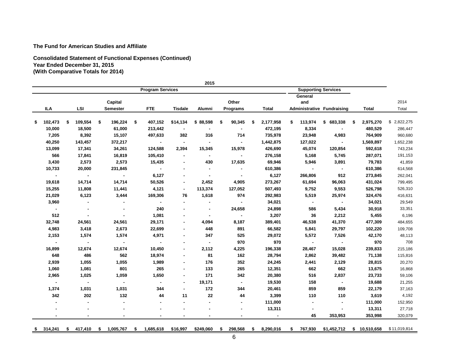**Consolidated Statement of Functional Expenses (Continued) Year Ended December 31, 2015 (With Comparative Totals for 2014)**

|                |   |         |                 |    |                         |                       | 2015           |    |                |   |              |    |                            |                                   |                 |                 |
|----------------|---|---------|-----------------|----|-------------------------|-----------------------|----------------|----|----------------|---|--------------|----|----------------------------|-----------------------------------|-----------------|-----------------|
|                |   |         |                 |    | <b>Program Services</b> |                       |                |    |                |   |              |    | <b>Supporting Services</b> |                                   |                 |                 |
|                |   |         |                 |    |                         |                       |                |    |                |   |              |    | General                    |                                   |                 |                 |
|                |   |         | Capital         |    |                         |                       |                |    | Other          |   |              |    | and                        |                                   |                 | 2014            |
| ILA            |   | LSI     | <b>Semester</b> |    | <b>FTE</b>              | <b>Tisdale</b>        | Alumni         |    | Programs       |   | <b>Total</b> |    |                            | <b>Administrative Fundraising</b> | Total           | Total           |
|                |   |         |                 |    |                         |                       |                |    |                |   |              |    |                            |                                   |                 |                 |
| \$<br>102,473  | S | 109,554 | \$<br>196,224   | \$ | 407,152                 | \$14,134              | \$88,598       | \$ | 90,345         | S | 2,177,958    | \$ | 113,974                    | \$683,338                         | \$<br>2,975,270 | 2,822,275<br>\$ |
| 10,000         |   | 18,500  | 61,000          |    | 213,442                 | $\blacksquare$        | $\blacksquare$ |    | $\blacksquare$ |   | 472,195      |    | 8,334                      | $\sim$                            | 480,529         | 286,447         |
| 7,205          |   | 8,392   | 15,107          |    | 497,633                 | 382                   | 316            |    | 714            |   | 735,978      |    | 23,948                     | 4,983                             | 764,909         | 960,680         |
| 40,250         |   | 143,457 | 372,217         |    | $\sim$                  | $\blacksquare$        | $\blacksquare$ |    | $\blacksquare$ |   | 1,442,875    |    | 127,022                    | $\sim$                            | 1,569,897       | 1,652,238       |
| 13,099         |   | 17,341  | 34,261          |    | 124,588                 | 2,394                 | 15,345         |    | 15,978         |   | 426,690      |    | 45,074                     | 120,854                           | 592,618         | 743,234         |
| 566            |   | 17,841  | 16,819          |    | 105,410                 | $\tilde{\phantom{a}}$ | $\sim$         |    | $\sim$         |   | 276,158      |    | 5,168                      | 5,745                             | 287,071         | 191,153         |
| 3,430          |   | 2,573   | 2,573           |    | 15,435                  | $\blacksquare$        | 430            |    | 17,635         |   | 69,946       |    | 5,946                      | 3,891                             | 79,783          | 41,859          |
| 10,733         |   | 20,000  | 231,845         |    | $\mathbf{r}$            | $\blacksquare$        |                |    | $\blacksquare$ |   | 610,386      |    | $\sim$                     | $\sim$                            | 610,386         | 614,568         |
| $\blacksquare$ |   | $\sim$  | $\sim$          |    | 6,127                   |                       |                |    |                |   | 6,127        |    | 266,806                    | 912                               | 273,845         | 262,041         |
| 19,618         |   | 14,714  | 14,714          |    | 50,526                  |                       | 2,452          |    | 4,905          |   | 273,267      |    | 61,694                     | 96,063                            | 431,024         | 799,495         |
| 15,255         |   | 11,808  | 11,441          |    | 4,121                   | $\blacksquare$        | 113,374        |    | 127,052        |   | 507,493      |    | 9,752                      | 9,553                             | 526,798         | 526,310         |
| 21,029         |   | 6,123   | 3,444           |    | 169,306                 | 76                    | 1,618          |    | 974            |   | 292,983      |    | 5,519                      | 25,974                            | 324,476         | 416,631         |
| 3,960          |   |         |                 |    | $\blacksquare$          | $\blacksquare$        | $\blacksquare$ |    | $\sim$         |   | 34,021       |    | $\sim$                     | $\sim$                            | 34,021          | 29,549          |
| $\sim$         |   |         |                 |    | 240                     |                       |                |    | 24,658         |   | 24,898       |    | 586                        | 5,434                             | 30,918          | 33,351          |
| 512            |   |         |                 |    | 1,081                   |                       | $\blacksquare$ |    | $\sim$         |   | 3,207        |    | 36                         | 2,212                             | 5,455           | 6,196           |
| 32,748         |   | 24,561  | 24,561          |    | 29,171                  | $\blacksquare$        | 4,094          |    | 8,187          |   | 389,401      |    | 46,538                     | 41,370                            | 477,309         | 484,655         |
| 4,983          |   | 3,418   | 2,673           |    | 22,699                  |                       | 448            |    | 891            |   | 66,582       |    | 5,841                      | 29,797                            | 102,220         | 109,708         |
| 2,153          |   | 1,574   | 1,574           |    | 4,971                   |                       | 347            |    | 525            |   | 29,072       |    | 5,572                      | 7,526                             | 42,170          | 48,113          |
| $\blacksquare$ |   | $\sim$  | $\blacksquare$  |    | $\sim$                  | $\blacksquare$        | $\blacksquare$ |    | 970            |   | 970          |    | $\blacksquare$             | $\sim$                            | 970             | 708             |
| 16,899         |   | 12,674  | 12,674          |    | 10,450                  | $\blacksquare$        | 2,112          |    | 4,225          |   | 196,338      |    | 28,467                     | 15,028                            | 239,833         | 215,186         |
| 648            |   | 486     | 562             |    | 18,974                  | $\blacksquare$        | 81             |    | 162            |   | 28,794       |    | 2,862                      | 39,482                            | 71,138          | 115,816         |
| 2,939          |   | 1,055   | 1,055           |    | 1,989                   | ÷                     | 176            |    | 352            |   | 24,245       |    | 2,441                      | 2,129                             | 28,815          | 20,270          |
| 1,060          |   | 1,081   | 801             |    | 265                     | $\blacksquare$        | 133            |    | 265            |   | 12,351       |    | 662                        | 662                               | 13,675          | 16,868          |
| 2,965          |   | 1,025   | 1,059           |    | 1,650                   | ÷                     | 171            |    | 342            |   | 20,380       |    | 516                        | 2,837                             | 23,733          | 59,106          |
| $\blacksquare$ |   | $\sim$  | $\sim$          |    | $\blacksquare$          | $\blacksquare$        | 19,171         |    | $\blacksquare$ |   | 19,530       |    | 158                        | $\sim$                            | 19,688          | 21,255          |
| 1,374          |   | 1,031   | 1,031           |    | 344                     | $\blacksquare$        | 172            |    | 344            |   | 20,461       |    | 859                        | 859                               | 22,179          | 37,163          |
| 342            |   | 202     | 132             |    | 44                      | 11                    | 22             |    | 44             |   | 3,399        |    | 110                        | 110                               | 3,619           | 4,192           |
|                |   |         |                 |    |                         |                       |                |    |                |   | 111,000      |    | ٠                          | $\blacksquare$                    | 111,000         | 152,950         |
|                |   |         |                 |    |                         |                       |                |    |                |   | 13,311       |    |                            |                                   | 13,311          | 27,718          |
|                |   |         |                 |    |                         |                       |                |    |                |   |              |    | 45                         | 353,953                           | 353,998         | 320,079         |
|                |   |         |                 |    |                         |                       |                |    |                |   |              |    |                            |                                   |                 |                 |
| \$<br>314,241  | s | 417,410 | \$<br>1,005,767 | S  | 1,685,618               | \$16,997              | \$249,060      | S  | 298,568        | S | 8,290,016    | S. | 767,930                    | \$1,452,712                       | \$10,510,658    | \$11,019,814    |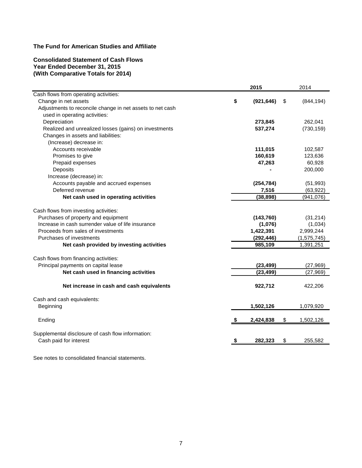## **Consolidated Statement of Cash Flows Year Ended December 31, 2015 (With Comparative Totals for 2014)**

|                                                           | 2015             | 2014             |
|-----------------------------------------------------------|------------------|------------------|
| Cash flows from operating activities:                     |                  |                  |
| Change in net assets                                      | \$<br>(921, 646) | \$<br>(844, 194) |
| Adjustments to reconcile change in net assets to net cash |                  |                  |
| used in operating activities:                             |                  |                  |
| Depreciation                                              | 273,845          | 262,041          |
| Realized and unrealized losses (gains) on investments     | 537,274          | (730, 159)       |
| Changes in assets and liabilities:                        |                  |                  |
| (Increase) decrease in:                                   |                  |                  |
| Accounts receivable                                       | 111,015          | 102,587          |
| Promises to give                                          | 160,619          | 123,636          |
| Prepaid expenses                                          | 47,263           | 60,928           |
| Deposits                                                  |                  | 200,000          |
| Increase (decrease) in:                                   |                  |                  |
| Accounts payable and accrued expenses                     | (254, 784)       | (51, 993)        |
| Deferred revenue                                          | 7,516            | (63, 922)        |
| Net cash used in operating activities                     | (38, 898)        | (941, 076)       |
| Cash flows from investing activities:                     |                  |                  |
| Purchases of property and equipment                       | (143,760)        | (31, 214)        |
| Increase in cash surrender value of life insurance        | (1,076)          | (1,034)          |
| Proceeds from sales of investments                        | 1,422,391        | 2,999,244        |
| Purchases of investments                                  | (292, 446)       | (1, 575, 745)    |
| Net cash provided by investing activities                 | 985,109          | 1,391,251        |
| Cash flows from financing activities:                     |                  |                  |
| Principal payments on capital lease                       | (23, 499)        | (27, 969)        |
| Net cash used in financing activities                     | (23, 499)        | (27, 969)        |
|                                                           |                  |                  |
| Net increase in cash and cash equivalents                 | 922,712          | 422,206          |
| Cash and cash equivalents:                                |                  |                  |
| Beginning                                                 | 1,502,126        | 1,079,920        |
|                                                           |                  |                  |
| Ending                                                    | 2,424,838        | \$<br>1,502,126  |
| Supplemental disclosure of cash flow information:         |                  |                  |
| Cash paid for interest                                    | 282,323          | \$<br>255,582    |
|                                                           |                  |                  |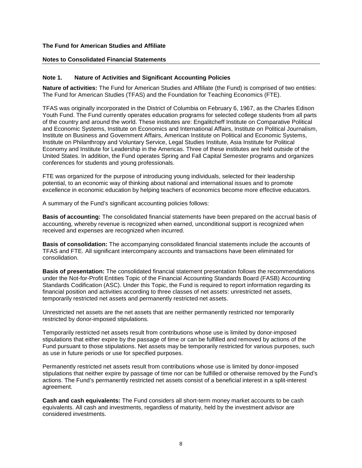#### **Notes to Consolidated Financial Statements**

#### **Note 1. Nature of Activities and Significant Accounting Policies**

**Nature of activities:** The Fund for American Studies and Affiliate (the Fund) is comprised of two entities: The Fund for American Studies (TFAS) and the Foundation for Teaching Economics (FTE).

TFAS was originally incorporated in the District of Columbia on February 6, 1967, as the Charles Edison Youth Fund. The Fund currently operates education programs for selected college students from all parts of the country and around the world. These institutes are: Engalitcheff Institute on Comparative Political and Economic Systems, Institute on Economics and International Affairs, Institute on Political Journalism, Institute on Business and Government Affairs, American Institute on Political and Economic Systems, Institute on Philanthropy and Voluntary Service, Legal Studies Institute, Asia Institute for Political Economy and Institute for Leadership in the Americas. Three of these institutes are held outside of the United States. In addition, the Fund operates Spring and Fall Capital Semester programs and organizes conferences for students and young professionals.

FTE was organized for the purpose of introducing young individuals, selected for their leadership potential, to an economic way of thinking about national and international issues and to promote excellence in economic education by helping teachers of economics become more effective educators.

A summary of the Fund's significant accounting policies follows:

**Basis of accounting:** The consolidated financial statements have been prepared on the accrual basis of accounting, whereby revenue is recognized when earned, unconditional support is recognized when received and expenses are recognized when incurred.

**Basis of consolidation:** The accompanying consolidated financial statements include the accounts of TFAS and FTE. All significant intercompany accounts and transactions have been eliminated for consolidation.

**Basis of presentation:** The consolidated financial statement presentation follows the recommendations under the Not-for-Profit Entities Topic of the Financial Accounting Standards Board (FASB) Accounting Standards Codification (ASC). Under this Topic, the Fund is required to report information regarding its financial position and activities according to three classes of net assets: unrestricted net assets, temporarily restricted net assets and permanently restricted net assets.

Unrestricted net assets are the net assets that are neither permanently restricted nor temporarily restricted by donor-imposed stipulations.

Temporarily restricted net assets result from contributions whose use is limited by donor-imposed stipulations that either expire by the passage of time or can be fulfilled and removed by actions of the Fund pursuant to those stipulations. Net assets may be temporarily restricted for various purposes, such as use in future periods or use for specified purposes.

Permanently restricted net assets result from contributions whose use is limited by donor-imposed stipulations that neither expire by passage of time nor can be fulfilled or otherwise removed by the Fund's actions. The Fund's permanently restricted net assets consist of a beneficial interest in a split-interest agreement.

**Cash and cash equivalents:** The Fund considers all short-term money market accounts to be cash equivalents. All cash and investments, regardless of maturity, held by the investment advisor are considered investments.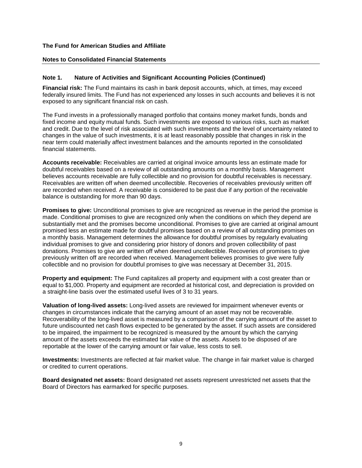#### **Notes to Consolidated Financial Statements**

## **Note 1. Nature of Activities and Significant Accounting Policies (Continued)**

**Financial risk:** The Fund maintains its cash in bank deposit accounts, which, at times, may exceed federally insured limits. The Fund has not experienced any losses in such accounts and believes it is not exposed to any significant financial risk on cash.

The Fund invests in a professionally managed portfolio that contains money market funds, bonds and fixed income and equity mutual funds. Such investments are exposed to various risks, such as market and credit. Due to the level of risk associated with such investments and the level of uncertainty related to changes in the value of such investments, it is at least reasonably possible that changes in risk in the near term could materially affect investment balances and the amounts reported in the consolidated financial statements.

**Accounts receivable:** Receivables are carried at original invoice amounts less an estimate made for doubtful receivables based on a review of all outstanding amounts on a monthly basis. Management believes accounts receivable are fully collectible and no provision for doubtful receivables is necessary. Receivables are written off when deemed uncollectible. Recoveries of receivables previously written off are recorded when received. A receivable is considered to be past due if any portion of the receivable balance is outstanding for more than 90 days.

**Promises to give:** Unconditional promises to give are recognized as revenue in the period the promise is made. Conditional promises to give are recognized only when the conditions on which they depend are substantially met and the promises become unconditional. Promises to give are carried at original amount promised less an estimate made for doubtful promises based on a review of all outstanding promises on a monthly basis. Management determines the allowance for doubtful promises by regularly evaluating individual promises to give and considering prior history of donors and proven collectibility of past donations. Promises to give are written off when deemed uncollectible. Recoveries of promises to give previously written off are recorded when received. Management believes promises to give were fully collectible and no provision for doubtful promises to give was necessary at December 31, 2015.

**Property and equipment:** The Fund capitalizes all property and equipment with a cost greater than or equal to \$1,000. Property and equipment are recorded at historical cost, and depreciation is provided on a straight-line basis over the estimated useful lives of 3 to 31 years.

**Valuation of long-lived assets:** Long-lived assets are reviewed for impairment whenever events or changes in circumstances indicate that the carrying amount of an asset may not be recoverable. Recoverability of the long-lived asset is measured by a comparison of the carrying amount of the asset to future undiscounted net cash flows expected to be generated by the asset. If such assets are considered to be impaired, the impairment to be recognized is measured by the amount by which the carrying amount of the assets exceeds the estimated fair value of the assets. Assets to be disposed of are reportable at the lower of the carrying amount or fair value, less costs to sell.

**Investments:** Investments are reflected at fair market value. The change in fair market value is charged or credited to current operations.

**Board designated net assets:** Board designated net assets represent unrestricted net assets that the Board of Directors has earmarked for specific purposes.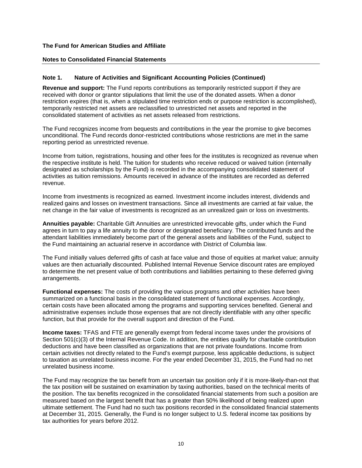#### **Notes to Consolidated Financial Statements**

## **Note 1. Nature of Activities and Significant Accounting Policies (Continued)**

**Revenue and support:** The Fund reports contributions as temporarily restricted support if they are received with donor or grantor stipulations that limit the use of the donated assets. When a donor restriction expires (that is, when a stipulated time restriction ends or purpose restriction is accomplished), temporarily restricted net assets are reclassified to unrestricted net assets and reported in the consolidated statement of activities as net assets released from restrictions.

The Fund recognizes income from bequests and contributions in the year the promise to give becomes unconditional. The Fund records donor-restricted contributions whose restrictions are met in the same reporting period as unrestricted revenue.

Income from tuition, registrations, housing and other fees for the institutes is recognized as revenue when the respective institute is held. The tuition for students who receive reduced or waived tuition (internally designated as scholarships by the Fund) is recorded in the accompanying consolidated statement of activities as tuition remissions. Amounts received in advance of the institutes are recorded as deferred revenue.

Income from investments is recognized as earned. Investment income includes interest, dividends and realized gains and losses on investment transactions. Since all investments are carried at fair value, the net change in the fair value of investments is recognized as an unrealized gain or loss on investments.

**Annuities payable:** Charitable Gift Annuities are unrestricted irrevocable gifts, under which the Fund agrees in turn to pay a life annuity to the donor or designated beneficiary. The contributed funds and the attendant liabilities immediately become part of the general assets and liabilities of the Fund, subject to the Fund maintaining an actuarial reserve in accordance with District of Columbia law.

The Fund initially values deferred gifts of cash at face value and those of equities at market value; annuity values are then actuarially discounted. Published Internal Revenue Service discount rates are employed to determine the net present value of both contributions and liabilities pertaining to these deferred giving arrangements.

**Functional expenses:** The costs of providing the various programs and other activities have been summarized on a functional basis in the consolidated statement of functional expenses. Accordingly, certain costs have been allocated among the programs and supporting services benefited. General and administrative expenses include those expenses that are not directly identifiable with any other specific function, but that provide for the overall support and direction of the Fund.

**Income taxes:** TFAS and FTE are generally exempt from federal income taxes under the provisions of Section 501(c)(3) of the Internal Revenue Code. In addition, the entities qualify for charitable contribution deductions and have been classified as organizations that are not private foundations. Income from certain activities not directly related to the Fund's exempt purpose, less applicable deductions, is subject to taxation as unrelated business income. For the year ended December 31, 2015, the Fund had no net unrelated business income.

The Fund may recognize the tax benefit from an uncertain tax position only if it is more-likely-than-not that the tax position will be sustained on examination by taxing authorities, based on the technical merits of the position. The tax benefits recognized in the consolidated financial statements from such a position are measured based on the largest benefit that has a greater than 50% likelihood of being realized upon ultimate settlement. The Fund had no such tax positions recorded in the consolidated financial statements at December 31, 2015. Generally, the Fund is no longer subject to U.S. federal income tax positions by tax authorities for years before 2012.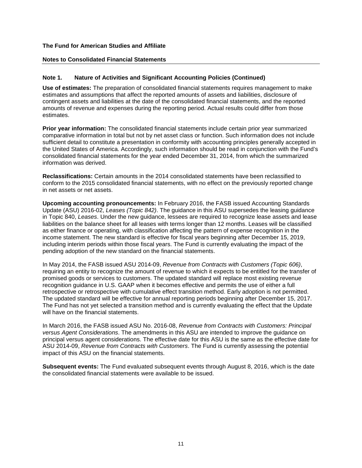#### **Notes to Consolidated Financial Statements**

## **Note 1. Nature of Activities and Significant Accounting Policies (Continued)**

**Use of estimates:** The preparation of consolidated financial statements requires management to make estimates and assumptions that affect the reported amounts of assets and liabilities, disclosure of contingent assets and liabilities at the date of the consolidated financial statements, and the reported amounts of revenue and expenses during the reporting period. Actual results could differ from those estimates.

**Prior year information:** The consolidated financial statements include certain prior year summarized comparative information in total but not by net asset class or function. Such information does not include sufficient detail to constitute a presentation in conformity with accounting principles generally accepted in the United States of America. Accordingly, such information should be read in conjunction with the Fund's consolidated financial statements for the year ended December 31, 2014, from which the summarized information was derived.

**Reclassifications:** Certain amounts in the 2014 consolidated statements have been reclassified to conform to the 2015 consolidated financial statements, with no effect on the previously reported change in net assets or net assets.

**Upcoming accounting pronouncements:** In February 2016, the FASB issued Accounting Standards Update (ASU) 2016-02, *Leases (Topic 842)*. The guidance in this ASU supersedes the leasing guidance in Topic 840, *Leases*. Under the new guidance, lessees are required to recognize lease assets and lease liabilities on the balance sheet for all leases with terms longer than 12 months. Leases will be classified as either finance or operating, with classification affecting the pattern of expense recognition in the income statement. The new standard is effective for fiscal years beginning after December 15, 2019, including interim periods within those fiscal years. The Fund is currently evaluating the impact of the pending adoption of the new standard on the financial statements.

In May 2014, the FASB issued ASU 2014-09, *Revenue from Contracts with Customers (Topic 606)*, requiring an entity to recognize the amount of revenue to which it expects to be entitled for the transfer of promised goods or services to customers. The updated standard will replace most existing revenue recognition guidance in U.S. GAAP when it becomes effective and permits the use of either a full retrospective or retrospective with cumulative effect transition method. Early adoption is not permitted. The updated standard will be effective for annual reporting periods beginning after December 15, 2017. The Fund has not yet selected a transition method and is currently evaluating the effect that the Update will have on the financial statements.

In March 2016, the FASB issued ASU No. 2016-08, *Revenue from Contracts with Customers: Principal versus Agent Considerations*. The amendments in this ASU are intended to improve the guidance on principal versus agent considerations. The effective date for this ASU is the same as the effective date for ASU 2014-09, *Revenue from Contracts with Customers*. The Fund is currently assessing the potential impact of this ASU on the financial statements.

**Subsequent events:** The Fund evaluated subsequent events through August 8, 2016, which is the date the consolidated financial statements were available to be issued.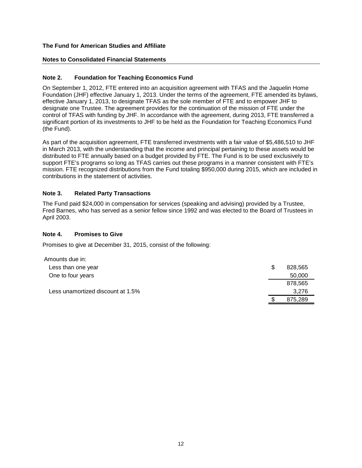## **Notes to Consolidated Financial Statements**

## **Note 2. Foundation for Teaching Economics Fund**

On September 1, 2012, FTE entered into an acquisition agreement with TFAS and the Jaquelin Home Foundation (JHF) effective January 1, 2013. Under the terms of the agreement, FTE amended its bylaws, effective January 1, 2013, to designate TFAS as the sole member of FTE and to empower JHF to designate one Trustee. The agreement provides for the continuation of the mission of FTE under the control of TFAS with funding by JHF. In accordance with the agreement, during 2013, FTE transferred a significant portion of its investments to JHF to be held as the Foundation for Teaching Economics Fund (the Fund).

As part of the acquisition agreement, FTE transferred investments with a fair value of \$5,486,510 to JHF in March 2013, with the understanding that the income and principal pertaining to these assets would be distributed to FTE annually based on a budget provided by FTE. The Fund is to be used exclusively to support FTE's programs so long as TFAS carries out these programs in a manner consistent with FTE's mission. FTE recognized distributions from the Fund totaling \$950,000 during 2015, which are included in contributions in the statement of activities.

## **Note 3. Related Party Transactions**

The Fund paid \$24,000 in compensation for services (speaking and advising) provided by a Trustee, Fred Barnes, who has served as a senior fellow since 1992 and was elected to the Board of Trustees in April 2003.

## **Note 4. Promises to Give**

Promises to give at December 31, 2015, consist of the following:

| Amounts due in:                   |               |
|-----------------------------------|---------------|
| Less than one year                | \$<br>828,565 |
| One to four years                 | 50,000        |
|                                   | 878,565       |
| Less unamortized discount at 1.5% | 3,276         |
|                                   | 875,289       |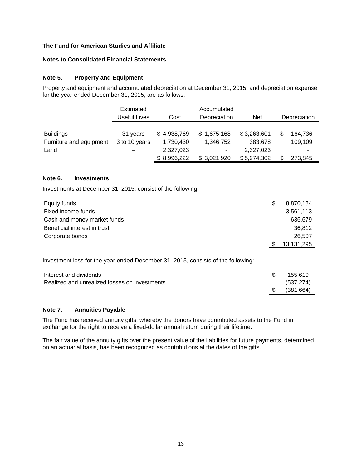## **Notes to Consolidated Financial Statements**

#### **Note 5. Property and Equipment**

Property and equipment and accumulated depreciation at December 31, 2015, and depreciation expense for the year ended December 31, 2015, are as follows:

|                                             | Estimated<br>Useful Lives | Cost                     | Accumulated<br>Depreciation              | <b>Net</b>               | Depreciation                     |
|---------------------------------------------|---------------------------|--------------------------|------------------------------------------|--------------------------|----------------------------------|
| <b>Buildings</b><br>Furniture and equipment | 31 years<br>3 to 10 years | \$4,938,769<br>1,730,430 | \$1,675,168<br>1,346,752                 | \$3,263,601<br>383,678   | 164,736<br>109,109               |
| Land                                        |                           | 2,327,023<br>\$8,996,222 | $\overline{\phantom{a}}$<br>\$ 3.021.920 | 2,327,023<br>\$5,974,302 | $\tilde{\phantom{a}}$<br>273,845 |

#### **Note 6. Investments**

Investments at December 31, 2015, consist of the following:

| Equity funds                 | 8,870,184  |
|------------------------------|------------|
| Fixed income funds           | 3,561,113  |
| Cash and money market funds  | 636,679    |
| Beneficial interest in trust | 36.812     |
| Corporate bonds              | 26,507     |
|                              | 13,131,295 |
|                              |            |

Investment loss for the year ended December 31, 2015, consists of the following:

| Interest and dividends                        | 155.610    |
|-----------------------------------------------|------------|
| Realized and unrealized losses on investments | (537, 274) |
|                                               | (381.664)  |

#### **Note 7. Annuities Payable**

The Fund has received annuity gifts, whereby the donors have contributed assets to the Fund in exchange for the right to receive a fixed-dollar annual return during their lifetime.

The fair value of the annuity gifts over the present value of the liabilities for future payments, determined on an actuarial basis, has been recognized as contributions at the dates of the gifts.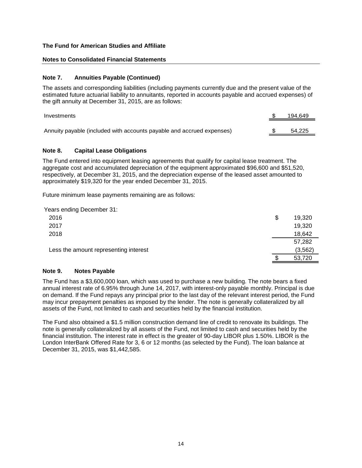#### **Notes to Consolidated Financial Statements**

#### **Note 7. Annuities Payable (Continued)**

The assets and corresponding liabilities (including payments currently due and the present value of the estimated future actuarial liability to annuitants, reported in accounts payable and accrued expenses) of the gift annuity at December 31, 2015, are as follows:

| Investments                                                           | 194,649 |
|-----------------------------------------------------------------------|---------|
| Annuity payable (included with accounts payable and accrued expenses) | 54.225  |
|                                                                       |         |

#### **Note 8. Capital Lease Obligations**

The Fund entered into equipment leasing agreements that qualify for capital lease treatment. The aggregate cost and accumulated depreciation of the equipment approximated \$96,600 and \$51,520, respectively, at December 31, 2015, and the depreciation expense of the leased asset amounted to approximately \$19,320 for the year ended December 31, 2015.

Future minimum lease payments remaining are as follows:

| Years ending December 31:             |              |
|---------------------------------------|--------------|
| 2016                                  | \$<br>19,320 |
| 2017                                  | 19,320       |
| 2018                                  | 18,642       |
|                                       | 57,282       |
| Less the amount representing interest | (3, 562)     |
|                                       | 53,720       |

#### **Note 9. Notes Payable**

The Fund has a \$3,600,000 loan, which was used to purchase a new building. The note bears a fixed annual interest rate of 6.95% through June 14, 2017, with interest-only payable monthly. Principal is due on demand. If the Fund repays any principal prior to the last day of the relevant interest period, the Fund may incur prepayment penalties as imposed by the lender. The note is generally collateralized by all assets of the Fund, not limited to cash and securities held by the financial institution.

The Fund also obtained a \$1.5 million construction demand line of credit to renovate its buildings. The note is generally collateralized by all assets of the Fund, not limited to cash and securities held by the financial institution. The interest rate in effect is the greater of 90-day LIBOR plus 1.50%. LIBOR is the London InterBank Offered Rate for 3, 6 or 12 months (as selected by the Fund). The loan balance at December 31, 2015, was \$1,442,585.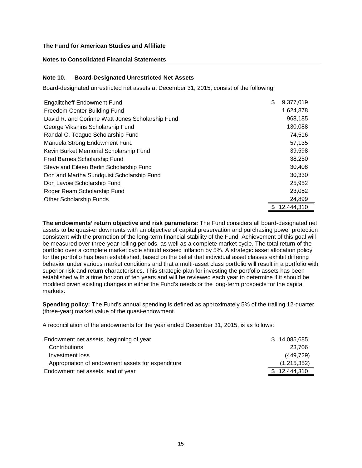### **Notes to Consolidated Financial Statements**

## **Note 10. Board-Designated Unrestricted Net Assets**

Board-designated unrestricted net assets at December 31, 2015, consist of the following:

| <b>Engalitcheff Endowment Fund</b>               | \$<br>9,377,019 |
|--------------------------------------------------|-----------------|
| Freedom Center Building Fund                     | 1,624,878       |
| David R. and Corinne Watt Jones Scholarship Fund | 968,185         |
| George Viksnins Scholarship Fund                 | 130,088         |
| Randal C. Teague Scholarship Fund                | 74,516          |
| Manuela Strong Endowment Fund                    | 57,135          |
| Kevin Burket Memorial Scholarship Fund           | 39,598          |
| Fred Barnes Scholarship Fund                     | 38,250          |
| Steve and Eileen Berlin Scholarship Fund         | 30,408          |
| Don and Martha Sundquist Scholarship Fund        | 30,330          |
| Don Lavoie Scholarship Fund                      | 25,952          |
| Roger Ream Scholarship Fund                      | 23,052          |
| <b>Other Scholarship Funds</b>                   | 24,899          |
|                                                  | 12,444,310      |

**The endowments' return objective and risk parameters:** The Fund considers all board-designated net assets to be quasi-endowments with an objective of capital preservation and purchasing power protection consistent with the promotion of the long-term financial stability of the Fund. Achievement of this goal will be measured over three-year rolling periods, as well as a complete market cycle. The total return of the portfolio over a complete market cycle should exceed inflation by 5%. A strategic asset allocation policy for the portfolio has been established, based on the belief that individual asset classes exhibit differing behavior under various market conditions and that a multi-asset class portfolio will result in a portfolio with superior risk and return characteristics. This strategic plan for investing the portfolio assets has been established with a time horizon of ten years and will be reviewed each year to determine if it should be modified given existing changes in either the Fund's needs or the long-term prospects for the capital markets.

**Spending policy:** The Fund's annual spending is defined as approximately 5% of the trailing 12-quarter (three-year) market value of the quasi-endowment.

A reconciliation of the endowments for the year ended December 31, 2015, is as follows:

| Endowment net assets, beginning of year           | \$14,085,685 |
|---------------------------------------------------|--------------|
| Contributions                                     | 23.706       |
| Investment loss                                   | (449, 729)   |
| Appropriation of endowment assets for expenditure | (1,215,352)  |
| Endowment net assets, end of year                 | \$12,444,310 |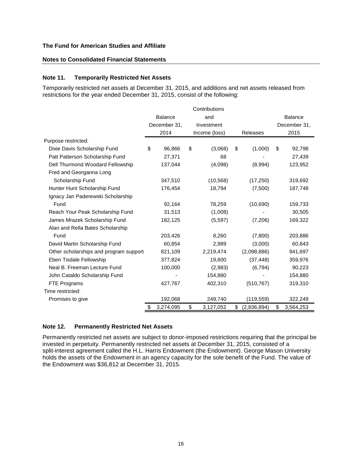## **Notes to Consolidated Financial Statements**

### **Note 11. Temporarily Restricted Net Assets**

Temporarily restricted net assets at December 31, 2015, and additions and net assets released from restrictions for the year ended December 31, 2015, consist of the following:

|                                        |                                |                |               | Contributions |          |             |              |                |
|----------------------------------------|--------------------------------|----------------|---------------|---------------|----------|-------------|--------------|----------------|
|                                        |                                | <b>Balance</b> |               | and           |          |             |              | <b>Balance</b> |
|                                        | December 31,                   |                | Investment    |               |          |             | December 31, |                |
|                                        | 2014                           |                | Income (loss) |               | Releases |             |              | 2015           |
| Purpose restricted:                    |                                |                |               |               |          |             |              |                |
| Dixie Davis Scholarship Fund           | \$                             | 96,866         | \$            | (3,068)       | \$       | (1,000)     | \$           | 92,798         |
| Patt Patterson Scholarship Fund        |                                | 27,371         |               | 68            |          |             |              | 27,439         |
| Dell Thurmond Woodard Fellowship       |                                | 137,044        |               | (4,098)       |          | (8,994)     |              | 123,952        |
| Fred and Georganna Long                |                                |                |               |               |          |             |              |                |
| Scholarship Fund                       |                                | 347,510        |               | (10, 568)     |          | (17,250)    |              | 319,692        |
| Hunter Hunt Scholarship Fund           |                                | 176,454        |               | 18,794        |          | (7,500)     |              | 187,748        |
| Ignacy Jan Paderewski Scholarship      |                                |                |               |               |          |             |              |                |
| Fund                                   |                                | 92,164         |               | 78,259        |          | (10,690)    |              | 159,733        |
| Reach Your Peak Scholarship Fund       |                                | 31,513         |               | (1,008)       |          |             |              | 30,505         |
| James Mrazek Scholarship Fund          | (5, 597)<br>182,125<br>(7,206) |                |               | 169,322       |          |             |              |                |
| Alan and Rella Bates Scholarship       |                                |                |               |               |          |             |              |                |
| Fund                                   |                                | 203,426        |               | 8,260         |          | (7,800)     |              | 203,886        |
| David Martin Scholarship Fund          |                                | 60,854         |               | 2,989         |          | (3,000)     |              | 60,843         |
| Other scholarships and program support |                                | 821,109        |               | 2,219,474     |          | (2,098,886) |              | 941,697        |
| Eben Tisdale Fellowship                |                                | 377,824        |               | 19,600        |          | (37, 448)   |              | 359,976        |
| Neal B. Freeman Lecture Fund           |                                | 100,000        |               | (2,983)       |          | (6, 794)    |              | 90,223         |
| John Cataldo Scholarship Fund          |                                |                |               | 154,880       |          |             |              | 154,880        |
| FTE Programs                           |                                | 427,767        |               | 402,310       |          | (510, 767)  |              | 319,310        |
| Time restricted:                       |                                |                |               |               |          |             |              |                |
| Promises to give                       |                                | 192,068        |               | 249,740       |          | (119, 559)  |              | 322,249        |
|                                        | \$                             | 3,274,095      | \$            | 3,127,052     | \$       | (2,836,894) | \$           | 3,564,253      |

### **Note 12. Permanently Restricted Net Assets**

Permanently restricted net assets are subject to donor-imposed restrictions requiring that the principal be invested in perpetuity. Permanently restricted net assets at December 31, 2015, consisted of a split-interest agreement called the H.L. Harris Endowment (the Endowment). George Mason University holds the assets of the Endowment in an agency capacity for the sole benefit of the Fund. The value of the Endowment was \$36,812 at December 31, 2015.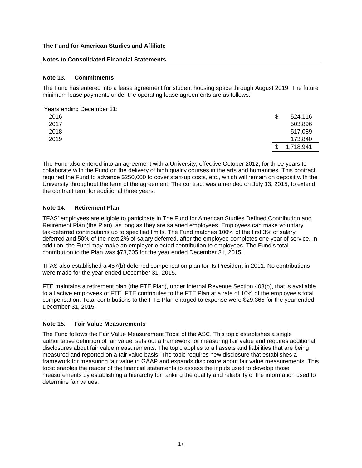#### **Notes to Consolidated Financial Statements**

### **Note 13. Commitments**

The Fund has entered into a lease agreement for student housing space through August 2019. The future minimum lease payments under the operating lease agreements are as follows:

| Years ending December 31: |               |
|---------------------------|---------------|
| 2016                      | \$<br>524,116 |
| 2017                      | 503,896       |
| 2018                      | 517,089       |
| 2019                      | 173,840       |
|                           | 1,718,941     |

The Fund also entered into an agreement with a University, effective October 2012, for three years to collaborate with the Fund on the delivery of high quality courses in the arts and humanities. This contract required the Fund to advance \$250,000 to cover start-up costs, etc., which will remain on deposit with the University throughout the term of the agreement. The contract was amended on July 13, 2015, to extend the contract term for additional three years.

## **Note 14. Retirement Plan**

TFAS' employees are eligible to participate in The Fund for American Studies Defined Contribution and Retirement Plan (the Plan), as long as they are salaried employees. Employees can make voluntary tax-deferred contributions up to specified limits. The Fund matches 100% of the first 3% of salary deferred and 50% of the next 2% of salary deferred, after the employee completes one year of service. In addition, the Fund may make an employer-elected contribution to employees. The Fund's total contribution to the Plan was \$73,705 for the year ended December 31, 2015.

TFAS also established a 457(b) deferred compensation plan for its President in 2011. No contributions were made for the year ended December 31, 2015.

FTE maintains a retirement plan (the FTE Plan), under Internal Revenue Section 403(b), that is available to all active employees of FTE. FTE contributes to the FTE Plan at a rate of 10% of the employee's total compensation. Total contributions to the FTE Plan charged to expense were \$29,365 for the year ended December 31, 2015.

#### **Note 15. Fair Value Measurements**

The Fund follows the Fair Value Measurement Topic of the ASC. This topic establishes a single authoritative definition of fair value, sets out a framework for measuring fair value and requires additional disclosures about fair value measurements. The topic applies to all assets and liabilities that are being measured and reported on a fair value basis. The topic requires new disclosure that establishes a framework for measuring fair value in GAAP and expands disclosure about fair value measurements. This topic enables the reader of the financial statements to assess the inputs used to develop those measurements by establishing a hierarchy for ranking the quality and reliability of the information used to determine fair values.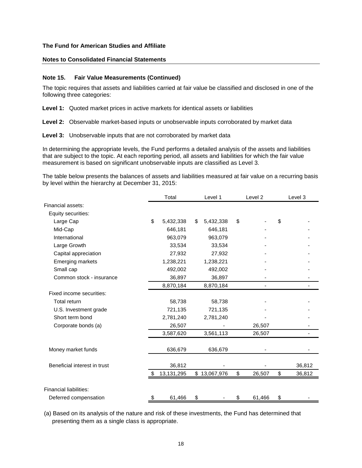## **Notes to Consolidated Financial Statements**

### **Note 15. Fair Value Measurements (Continued)**

The topic requires that assets and liabilities carried at fair value be classified and disclosed in one of the following three categories:

**Level 1:** Quoted market prices in active markets for identical assets or liabilities

**Level 2:** Observable market-based inputs or unobservable inputs corroborated by market data

#### **Level 3:** Unobservable inputs that are not corroborated by market data

In determining the appropriate levels, the Fund performs a detailed analysis of the assets and liabilities that are subject to the topic. At each reporting period, all assets and liabilities for which the fair value measurement is based on significant unobservable inputs are classified as Level 3.

The table below presents the balances of assets and liabilities measured at fair value on a recurring basis by level within the hierarchy at December 31, 2015:

|                               | Total           |    | Level 1      |    | Level 2                  |    | Level 3 |  |
|-------------------------------|-----------------|----|--------------|----|--------------------------|----|---------|--|
| Financial assets:             |                 |    |              |    |                          |    |         |  |
| Equity securities:            |                 |    |              |    |                          |    |         |  |
| Large Cap                     | \$<br>5,432,338 | \$ | 5,432,338    | \$ |                          | \$ |         |  |
| Mid-Cap                       | 646,181         |    | 646,181      |    |                          |    |         |  |
| International                 | 963,079         |    | 963,079      |    |                          |    |         |  |
| Large Growth                  | 33,534          |    | 33,534       |    |                          |    |         |  |
| Capital appreciation          | 27,932          |    | 27,932       |    |                          |    |         |  |
| <b>Emerging markets</b>       | 1,238,221       |    | 1,238,221    |    |                          |    |         |  |
| Small cap                     | 492,002         |    | 492,002      |    |                          |    |         |  |
| Common stock - insurance      | 36,897          |    | 36,897       |    |                          |    |         |  |
|                               | 8,870,184       |    | 8,870,184    |    | $\overline{\phantom{a}}$ |    |         |  |
| Fixed income securities:      |                 |    |              |    |                          |    |         |  |
| Total return                  | 58,738          |    | 58,738       |    |                          |    |         |  |
| U.S. Investment grade         | 721,135         |    | 721,135      |    |                          |    |         |  |
| Short term bond               | 2,781,240       |    | 2,781,240    |    |                          |    |         |  |
| Corporate bonds (a)           | 26,507          |    |              |    | 26,507                   |    |         |  |
|                               | 3,587,620       |    | 3,561,113    |    | 26,507                   |    |         |  |
| Money market funds            | 636,679         |    | 636,679      |    |                          |    |         |  |
| Beneficial interest in trust  | 36,812          |    |              |    |                          |    | 36,812  |  |
|                               | 13, 131, 295    |    | \$13,067,976 | \$ | 26,507                   | \$ | 36,812  |  |
| <b>Financial liabilities:</b> |                 |    |              |    |                          |    |         |  |
| Deferred compensation         | \$<br>61,466    | \$ |              | \$ | 61,466                   | \$ |         |  |

(a) Based on its analysis of the nature and risk of these investments, the Fund has determined that presenting them as a single class is appropriate.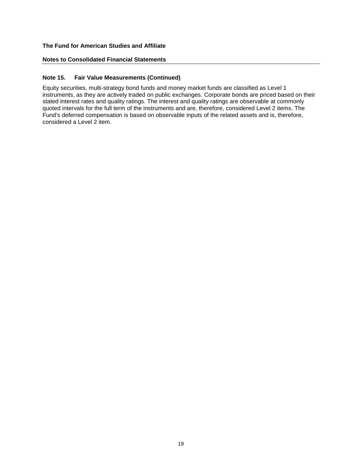## **Notes to Consolidated Financial Statements**

## **Note 15. Fair Value Measurements (Continued)**

Equity securities, multi-strategy bond funds and money market funds are classified as Level 1 instruments, as they are actively traded on public exchanges. Corporate bonds are priced based on their stated interest rates and quality ratings. The interest and quality ratings are observable at commonly quoted intervals for the full term of the instruments and are, therefore, considered Level 2 items. The Fund's deferred compensation is based on observable inputs of the related assets and is, therefore, considered a Level 2 item.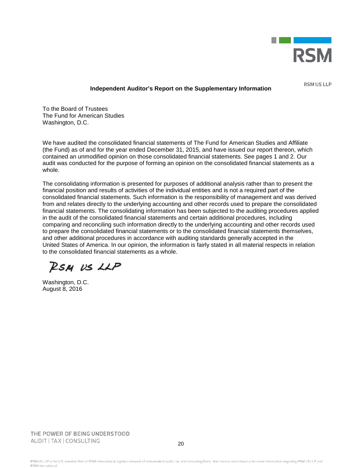

**RSM US LLP** 

#### **Independent Auditor's Report on the Supplementary Information**

To the Board of Trustees The Fund for American Studies Washington, D.C.

We have audited the consolidated financial statements of The Fund for American Studies and Affiliate (the Fund) as of and for the year ended December 31, 2015, and have issued our report thereon, which contained an unmodified opinion on those consolidated financial statements. See pages 1 and 2. Our audit was conducted for the purpose of forming an opinion on the consolidated financial statements as a whole.

The consolidating information is presented for purposes of additional analysis rather than to present the financial position and results of activities of the individual entities and is not a required part of the consolidated financial statements. Such information is the responsibility of management and was derived from and relates directly to the underlying accounting and other records used to prepare the consolidated financial statements. The consolidating information has been subjected to the auditing procedures applied in the audit of the consolidated financial statements and certain additional procedures, including comparing and reconciling such information directly to the underlying accounting and other records used to prepare the consolidated financial statements or to the consolidated financial statements themselves, and other additional procedures in accordance with auditing standards generally accepted in the United States of America. In our opinion, the information is fairly stated in all material respects in relation to the consolidated financial statements as a whole.

RSM US LLP

Washington, D.C. August 8, 2016

THE POWER OF BEING UNDERSTOOD AUDIT | TAX | CONSULTING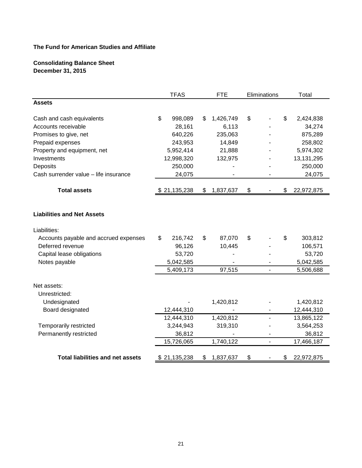## **Consolidating Balance Sheet December 31, 2015**

|                                         | <b>TFAS</b>   |    | <b>FTE</b> | Eliminations             | Total            |
|-----------------------------------------|---------------|----|------------|--------------------------|------------------|
| <b>Assets</b>                           |               |    |            |                          |                  |
| Cash and cash equivalents               | \$<br>998,089 | S  | 1,426,749  | \$                       | \$<br>2,424,838  |
| Accounts receivable                     | 28,161        |    | 6,113      |                          | 34,274           |
| Promises to give, net                   | 640,226       |    | 235,063    |                          | 875,289          |
| Prepaid expenses                        | 243,953       |    | 14,849     |                          | 258,802          |
| Property and equipment, net             | 5,952,414     |    | 21,888     |                          | 5,974,302        |
| Investments                             | 12,998,320    |    | 132,975    |                          | 13,131,295       |
| Deposits                                | 250,000       |    |            |                          | 250,000          |
| Cash surrender value - life insurance   | 24,075        |    |            |                          | 24,075           |
| <b>Total assets</b>                     | \$21,135,238  | \$ | 1,837,637  | \$                       | \$<br>22,972,875 |
|                                         |               |    |            |                          |                  |
| <b>Liabilities and Net Assets</b>       |               |    |            |                          |                  |
| Liabilities:                            |               |    |            |                          |                  |
| Accounts payable and accrued expenses   | \$<br>216,742 | \$ | 87,070     | \$                       | \$<br>303,812    |
| Deferred revenue                        | 96,126        |    | 10,445     |                          | 106,571          |
| Capital lease obligations               | 53,720        |    |            |                          | 53,720           |
| Notes payable                           | 5,042,585     |    |            |                          | 5,042,585        |
|                                         | 5,409,173     |    | 97,515     |                          | 5,506,688        |
| Net assets:                             |               |    |            |                          |                  |
| Unrestricted:                           |               |    |            |                          |                  |
| Undesignated                            |               |    | 1,420,812  |                          | 1,420,812        |
| Board designated                        | 12,444,310    |    |            |                          | 12,444,310       |
|                                         | 12,444,310    |    | 1,420,812  |                          | 13,865,122       |
| Temporarily restricted                  | 3,244,943     |    | 319,310    |                          | 3,564,253        |
| Permanently restricted                  | 36,812        |    |            |                          | 36,812           |
|                                         | 15,726,065    |    | 1,740,122  | $\overline{\phantom{a}}$ | 17,466,187       |
| <b>Total liabilities and net assets</b> | \$21,135,238  | \$ | 1,837,637  | \$                       | \$<br>22,972,875 |